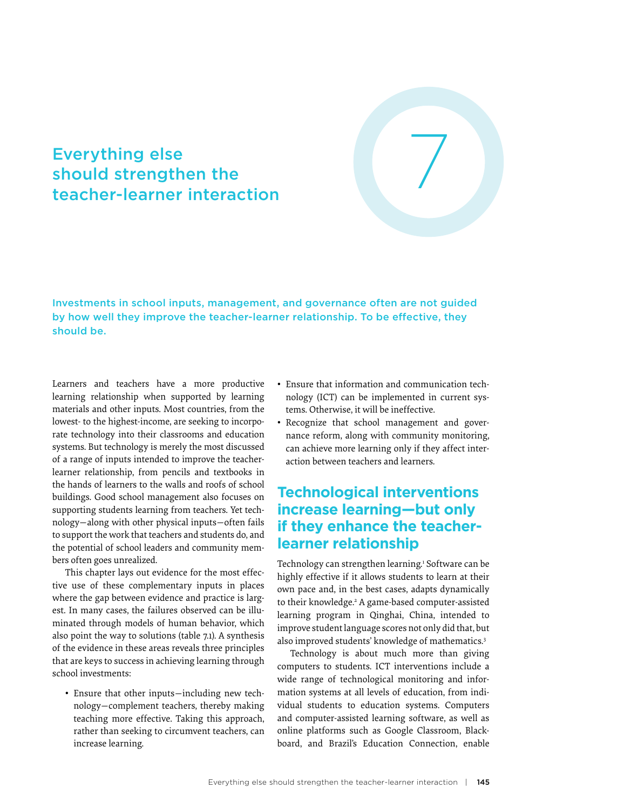# Everything else should strengthen the Everything else<br>should strengthen the<br>teacher-learner interaction

Investments in school inputs, management, and governance often are not guided by how well they improve the teacher-learner relationship. To be effective, they should be.

Learners and teachers have a more productive learning relationship when supported by learning materials and other inputs. Most countries, from the lowest- to the highest-income, are seeking to incorporate technology into their classrooms and education systems. But technology is merely the most discussed of a range of inputs intended to improve the teacherlearner relationship, from pencils and textbooks in the hands of learners to the walls and roofs of school buildings. Good school management also focuses on supporting students learning from teachers. Yet technology—along with other physical inputs—often fails to support the work that teachers and students do, and the potential of school leaders and community members often goes unrealized.

This chapter lays out evidence for the most effective use of these complementary inputs in places where the gap between evidence and practice is largest. In many cases, the failures observed can be illuminated through models of human behavior, which also point the way to solutions (table 7.1). A synthesis of the evidence in these areas reveals three principles that are keys to success in achieving learning through school investments:

• Ensure that other inputs—including new technology—complement teachers, thereby making teaching more effective. Taking this approach, rather than seeking to circumvent teachers, can increase learning.

- Ensure that information and communication technology (ICT) can be implemented in current systems. Otherwise, it will be ineffective.
- Recognize that school management and governance reform, along with community monitoring, can achieve more learning only if they affect interaction between teachers and learners.

# **Technological interventions increase learning—but only if they enhance the teacherlearner relationship**

Technology can strengthen learning.<sup>1</sup> Software can be highly effective if it allows students to learn at their own pace and, in the best cases, adapts dynamically to their knowledge.<sup>2</sup> A game-based computer-assisted learning program in Qinghai, China, intended to improve student language scores not only did that, but also improved students' knowledge of mathematics.3

Technology is about much more than giving computers to students. ICT interventions include a wide range of technological monitoring and information systems at all levels of education, from individual students to education systems. Computers and computer-assisted learning software, as well as online platforms such as Google Classroom, Blackboard, and Brazil's Education Connection, enable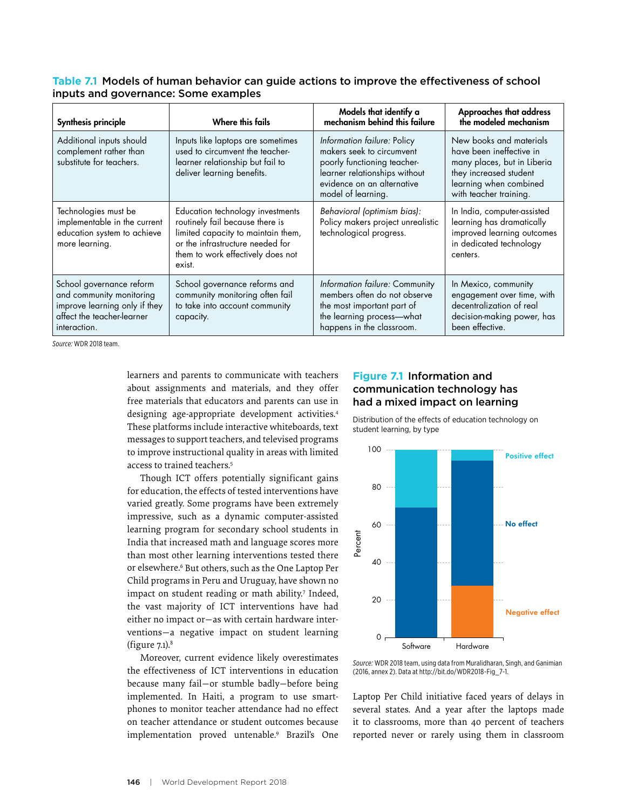| Table 7.1 Models of human behavior can guide actions to improve the effectiveness of school |
|---------------------------------------------------------------------------------------------|
| inputs and governance: Some examples                                                        |

| Synthesis principle                                                                                                                 | Where this fails                                                                                                                                                                             | Models that identify a<br>mechanism behind this failure                                                                                                                      | Approaches that address<br>the modeled mechanism                                                                                                                 |
|-------------------------------------------------------------------------------------------------------------------------------------|----------------------------------------------------------------------------------------------------------------------------------------------------------------------------------------------|------------------------------------------------------------------------------------------------------------------------------------------------------------------------------|------------------------------------------------------------------------------------------------------------------------------------------------------------------|
| Additional inputs should<br>complement rather than<br>substitute for teachers.                                                      | Inputs like laptops are sometimes<br>used to circumvent the teacher-<br>learner relationship but fail to<br>deliver learning benefits.                                                       | Information failure: Policy<br>makers seek to circumvent<br>poorly functioning teacher-<br>learner relationships without<br>evidence on an alternative<br>model of learning. | New books and materials<br>have been ineffective in<br>many places, but in Liberia<br>they increased student<br>learning when combined<br>with teacher training. |
| Technologies must be<br>implementable in the current<br>education system to achieve<br>more learning.                               | Education technology investments<br>routinely fail because there is<br>limited capacity to maintain them,<br>or the infrastructure needed for<br>them to work effectively does not<br>exist. | Behavioral (optimism bias):<br>Policy makers project unrealistic<br>technological progress.                                                                                  | In India, computer-assisted<br>learning has dramatically<br>improved learning outcomes<br>in dedicated technology<br>centers.                                    |
| School governance reform<br>and community monitoring<br>improve learning only if they<br>affect the teacher-learner<br>interaction. | School governance reforms and<br>community monitoring often fail<br>to take into account community<br>capacity.                                                                              | Information failure: Community<br>members often do not observe<br>the most important part of<br>the learning process-what<br>happens in the classroom.                       | In Mexico, community<br>engagement over time, with<br>decentralization of real<br>decision-making power, has<br>been effective.                                  |

*Source:* WDR 2018 team.

learners and parents to communicate with teachers about assignments and materials, and they offer free materials that educators and parents can use in designing age-appropriate development activities.<sup>4</sup> These platforms include interactive whiteboards, text messages to support teachers, and televised programs to improve instructional quality in areas with limited access to trained teachers.<sup>5</sup>

Though ICT offers potentially significant gains for education, the effects of tested interventions have varied greatly. Some programs have been extremely impressive, such as a dynamic computer-assisted learning program for secondary school students in India that increased math and language scores more than most other learning interventions tested there or elsewhere.<sup>6</sup> But others, such as the One Laptop Per Child programs in Peru and Uruguay, have shown no impact on student reading or math ability.<sup>7</sup> Indeed, the vast majority of ICT interventions have had either no impact or—as with certain hardware interventions—a negative impact on student learning (figure  $7.1$ ). $8$ 

Moreover, current evidence likely overestimates the effectiveness of ICT interventions in education because many fail—or stumble badly—before being implemented. In Haiti, a program to use smartphones to monitor teacher attendance had no effect on teacher attendance or student outcomes because implementation proved untenable.9 Brazil's One

#### **Figure 7.1** Information and communication technology has had a mixed impact on learning

Distribution of the effects of education technology on student learning, by type



*Source:* WDR 2018 team, using data from Muralidharan, Singh, and Ganimian (2016, annex 2). Data at http://bit.do/WDR2018-Fig\_7-1.

Laptop Per Child initiative faced years of delays in several states. And a year after the laptops made it to classrooms, more than 40 percent of teachers reported never or rarely using them in classroom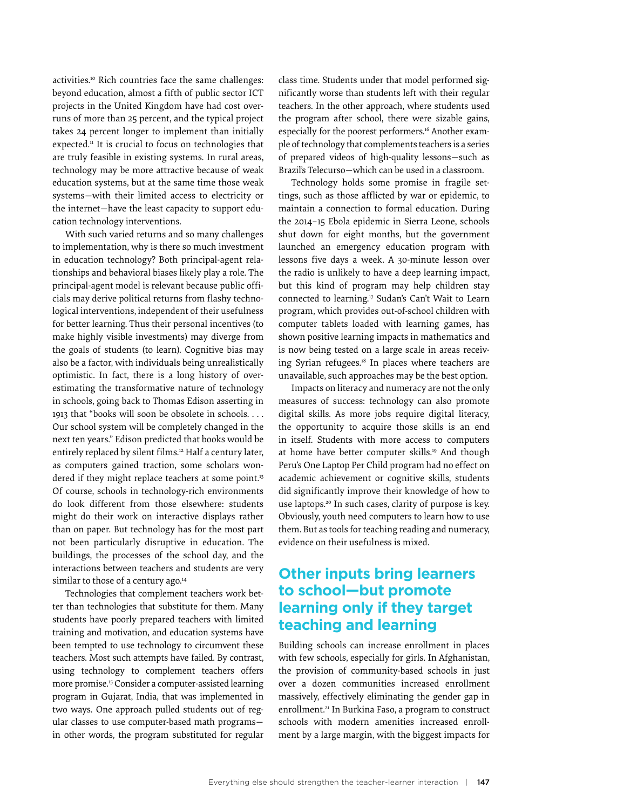activities.10 Rich countries face the same challenges: beyond education, almost a fifth of public sector ICT projects in the United Kingdom have had cost overruns of more than 25 percent, and the typical project takes 24 percent longer to implement than initially expected.11 It is crucial to focus on technologies that are truly feasible in existing systems. In rural areas, technology may be more attractive because of weak education systems, but at the same time those weak systems—with their limited access to electricity or the internet—have the least capacity to support education technology interventions.

With such varied returns and so many challenges to implementation, why is there so much investment in education technology? Both principal-agent relationships and behavioral biases likely play a role. The principal-agent model is relevant because public officials may derive political returns from flashy technological interventions, independent of their usefulness for better learning. Thus their personal incentives (to make highly visible investments) may diverge from the goals of students (to learn). Cognitive bias may also be a factor, with individuals being unrealistically optimistic. In fact, there is a long history of overestimating the transformative nature of technology in schools, going back to Thomas Edison asserting in 1913 that "books will soon be obsolete in schools. . . . Our school system will be completely changed in the next ten years." Edison predicted that books would be entirely replaced by silent films.<sup>12</sup> Half a century later, as computers gained traction, some scholars wondered if they might replace teachers at some point.<sup>13</sup> Of course, schools in technology-rich environments do look different from those elsewhere: students might do their work on interactive displays rather than on paper. But technology has for the most part not been particularly disruptive in education. The buildings, the processes of the school day, and the interactions between teachers and students are very similar to those of a century ago.<sup>14</sup>

Technologies that complement teachers work better than technologies that substitute for them. Many students have poorly prepared teachers with limited training and motivation, and education systems have been tempted to use technology to circumvent these teachers. Most such attempts have failed. By contrast, using technology to complement teachers offers more promise.15 Consider a computer-assisted learning program in Gujarat, India, that was implemented in two ways. One approach pulled students out of regular classes to use computer-based math programs in other words, the program substituted for regular class time. Students under that model performed significantly worse than students left with their regular teachers. In the other approach, where students used the program after school, there were sizable gains, especially for the poorest performers.<sup>16</sup> Another example of technology that complements teachers is a series of prepared videos of high-quality lessons—such as Brazil's Telecurso—which can be used in a classroom.

Technology holds some promise in fragile settings, such as those afflicted by war or epidemic, to maintain a connection to formal education. During the 2014–15 Ebola epidemic in Sierra Leone, schools shut down for eight months, but the government launched an emergency education program with lessons five days a week. A 30-minute lesson over the radio is unlikely to have a deep learning impact, but this kind of program may help children stay connected to learning.17 Sudan's Can't Wait to Learn program, which provides out-of-school children with computer tablets loaded with learning games, has shown positive learning impacts in mathematics and is now being tested on a large scale in areas receiving Syrian refugees.<sup>18</sup> In places where teachers are unavailable, such approaches may be the best option.

Impacts on literacy and numeracy are not the only measures of success: technology can also promote digital skills. As more jobs require digital literacy, the opportunity to acquire those skills is an end in itself. Students with more access to computers at home have better computer skills.<sup>19</sup> And though Peru's One Laptop Per Child program had no effect on academic achievement or cognitive skills, students did significantly improve their knowledge of how to use laptops.20 In such cases, clarity of purpose is key. Obviously, youth need computers to learn how to use them. But as tools for teaching reading and numeracy, evidence on their usefulness is mixed.

# **Other inputs bring learners to school—but promote learning only if they target teaching and learning**

Building schools can increase enrollment in places with few schools, especially for girls. In Afghanistan, the provision of community-based schools in just over a dozen communities increased enrollment massively, effectively eliminating the gender gap in enrollment.21 In Burkina Faso, a program to construct schools with modern amenities increased enrollment by a large margin, with the biggest impacts for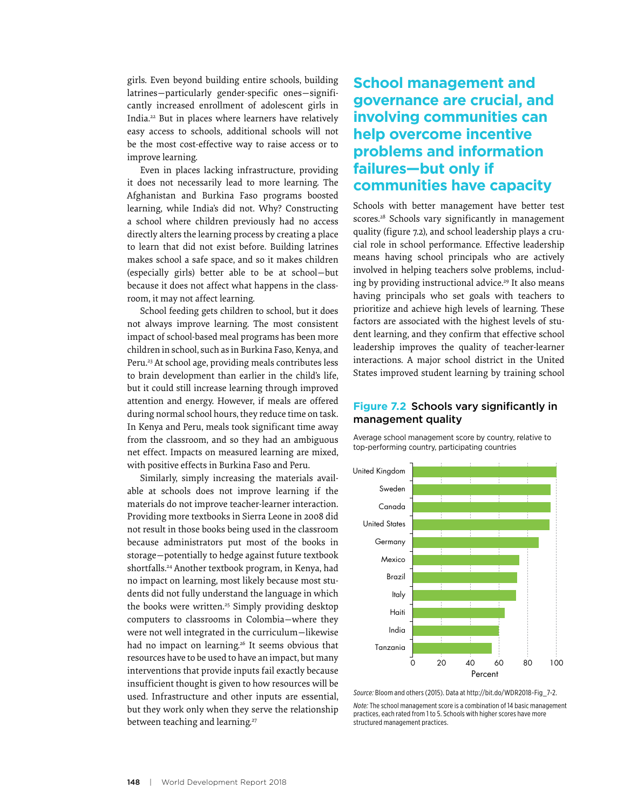girls. Even beyond building entire schools, building latrines—particularly gender-specific ones—significantly increased enrollment of adolescent girls in India.22 But in places where learners have relatively easy access to schools, additional schools will not be the most cost-effective way to raise access or to improve learning.

Even in places lacking infrastructure, providing it does not necessarily lead to more learning. The Afghanistan and Burkina Faso programs boosted learning, while India's did not. Why? Constructing a school where children previously had no access directly alters the learning process by creating a place to learn that did not exist before. Building latrines makes school a safe space, and so it makes children (especially girls) better able to be at school—but because it does not affect what happens in the classroom, it may not affect learning.

School feeding gets children to school, but it does not always improve learning. The most consistent impact of school-based meal programs has been more children in school, such as in Burkina Faso, Kenya, and Peru.<sup>23</sup> At school age, providing meals contributes less to brain development than earlier in the child's life, but it could still increase learning through improved attention and energy. However, if meals are offered during normal school hours, they reduce time on task. In Kenya and Peru, meals took significant time away from the classroom, and so they had an ambiguous net effect. Impacts on measured learning are mixed, with positive effects in Burkina Faso and Peru.

Similarly, simply increasing the materials available at schools does not improve learning if the materials do not improve teacher-learner interaction. Providing more textbooks in Sierra Leone in 2008 did not result in those books being used in the classroom because administrators put most of the books in storage—potentially to hedge against future textbook shortfalls.24 Another textbook program, in Kenya, had no impact on learning, most likely because most students did not fully understand the language in which the books were written.<sup>25</sup> Simply providing desktop computers to classrooms in Colombia—where they were not well integrated in the curriculum—likewise had no impact on learning.<sup>26</sup> It seems obvious that resources have to be used to have an impact, but many interventions that provide inputs fail exactly because insufficient thought is given to how resources will be used. Infrastructure and other inputs are essential, but they work only when they serve the relationship between teaching and learning.<sup>27</sup>

# **School management and governance are crucial, and involving communities can help overcome incentive problems and information failures—but only if communities have capacity**

Schools with better management have better test scores.<sup>28</sup> Schools vary significantly in management quality (figure 7.2), and school leadership plays a crucial role in school performance. Effective leadership means having school principals who are actively involved in helping teachers solve problems, including by providing instructional advice.<sup>29</sup> It also means having principals who set goals with teachers to prioritize and achieve high levels of learning. These factors are associated with the highest levels of student learning, and they confirm that effective school leadership improves the quality of teacher-learner interactions. A major school district in the United States improved student learning by training school

#### **Figure 7.2** Schools vary significantly in management quality

Average school management score by country, relative to top-performing country, participating countries



*Source:* Bloom and others (2015). Data at http://bit.do/WDR2018-Fig\_7-2.

*Note:* The school management score is a combination of 14 basic management practices, each rated from 1 to 5. Schools with higher scores have more structured management practices.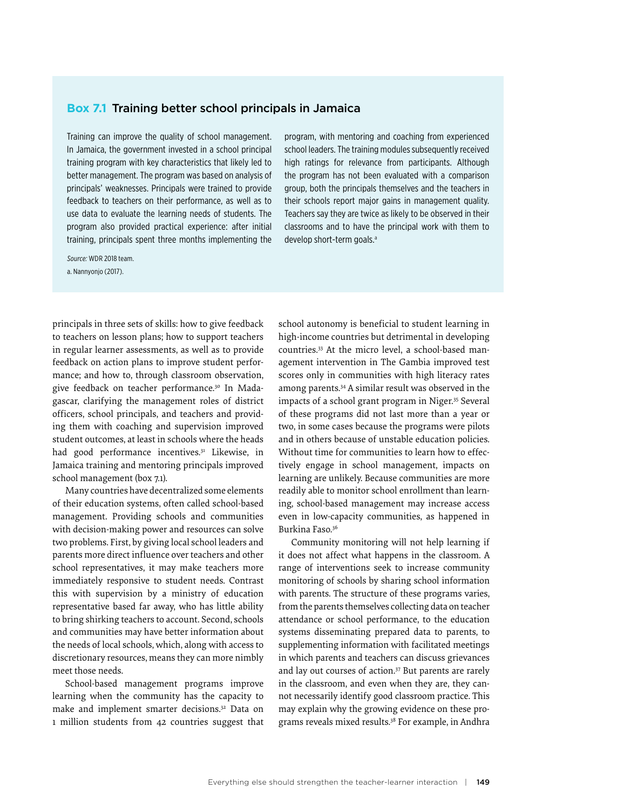#### **Box 7.1** Training better school principals in Jamaica

Training can improve the quality of school management. In Jamaica, the government invested in a school principal training program with key characteristics that likely led to better management. The program was based on analysis of principals' weaknesses. Principals were trained to provide feedback to teachers on their performance, as well as to use data to evaluate the learning needs of students. The program also provided practical experience: after initial training, principals spent three months implementing the

*Source:* WDR 2018 team. a. Nannyonjo (2017).

program, with mentoring and coaching from experienced school leaders. The training modules subsequently received high ratings for relevance from participants. Although the program has not been evaluated with a comparison group, both the principals themselves and the teachers in their schools report major gains in management quality. Teachers say they are twice as likely to be observed in their classrooms and to have the principal work with them to develop short-term goals.<sup>a</sup>

principals in three sets of skills: how to give feedback to teachers on lesson plans; how to support teachers in regular learner assessments, as well as to provide feedback on action plans to improve student performance; and how to, through classroom observation, give feedback on teacher performance.<sup>30</sup> In Madagascar, clarifying the management roles of district officers, school principals, and teachers and providing them with coaching and supervision improved student outcomes, at least in schools where the heads had good performance incentives.<sup>31</sup> Likewise, in Jamaica training and mentoring principals improved school management (box 7.1).

Many countries have decentralized some elements of their education systems, often called school-based management. Providing schools and communities with decision-making power and resources can solve two problems. First, by giving local school leaders and parents more direct influence over teachers and other school representatives, it may make teachers more immediately responsive to student needs. Contrast this with supervision by a ministry of education representative based far away, who has little ability to bring shirking teachers to account. Second, schools and communities may have better information about the needs of local schools, which, along with access to discretionary resources, means they can more nimbly meet those needs.

School-based management programs improve learning when the community has the capacity to make and implement smarter decisions.32 Data on 1 million students from 42 countries suggest that

school autonomy is beneficial to student learning in high-income countries but detrimental in developing countries.33 At the micro level, a school-based management intervention in The Gambia improved test scores only in communities with high literacy rates among parents.34 A similar result was observed in the impacts of a school grant program in Niger.<sup>35</sup> Several of these programs did not last more than a year or two, in some cases because the programs were pilots and in others because of unstable education policies. Without time for communities to learn how to effectively engage in school management, impacts on learning are unlikely. Because communities are more readily able to monitor school enrollment than learning, school-based management may increase access even in low-capacity communities, as happened in Burkina Faso.36

Community monitoring will not help learning if it does not affect what happens in the classroom. A range of interventions seek to increase community monitoring of schools by sharing school information with parents. The structure of these programs varies, from the parents themselves collecting data on teacher attendance or school performance, to the education systems disseminating prepared data to parents, to supplementing information with facilitated meetings in which parents and teachers can discuss grievances and lay out courses of action.<sup>37</sup> But parents are rarely in the classroom, and even when they are, they cannot necessarily identify good classroom practice. This may explain why the growing evidence on these programs reveals mixed results.38 For example, in Andhra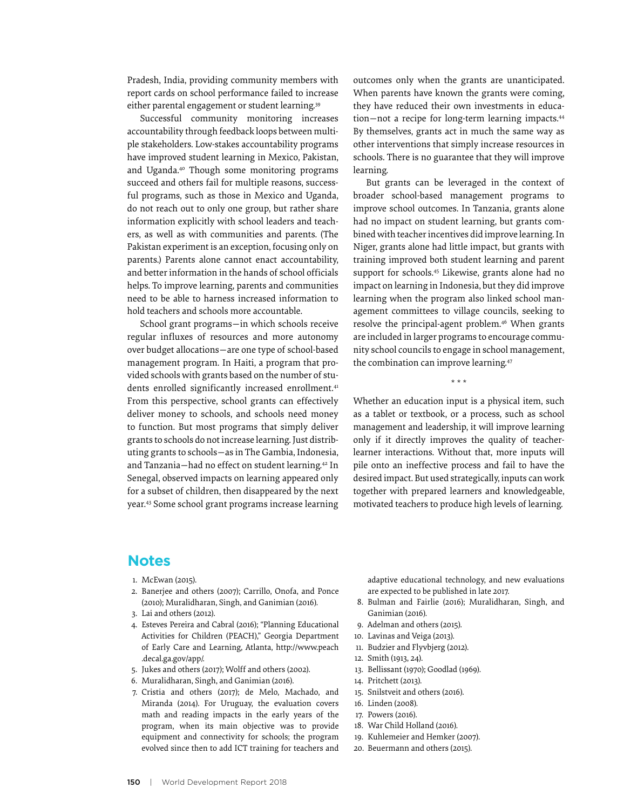Pradesh, India, providing community members with report cards on school performance failed to increase either parental engagement or student learning.<sup>39</sup>

Successful community monitoring increases accountability through feedback loops between multiple stakeholders. Low-stakes accountability programs have improved student learning in Mexico, Pakistan, and Uganda.40 Though some monitoring programs succeed and others fail for multiple reasons, successful programs, such as those in Mexico and Uganda, do not reach out to only one group, but rather share information explicitly with school leaders and teachers, as well as with communities and parents. (The Pakistan experiment is an exception, focusing only on parents.) Parents alone cannot enact accountability, and better information in the hands of school officials helps. To improve learning, parents and communities need to be able to harness increased information to hold teachers and schools more accountable.

School grant programs—in which schools receive regular influxes of resources and more autonomy over budget allocations—are one type of school-based management program. In Haiti, a program that provided schools with grants based on the number of students enrolled significantly increased enrollment.<sup>41</sup> From this perspective, school grants can effectively deliver money to schools, and schools need money to function. But most programs that simply deliver grants to schools do not increase learning. Just distributing grants to schools—as in The Gambia, Indonesia, and Tanzania—had no effect on student learning.42 In Senegal, observed impacts on learning appeared only for a subset of children, then disappeared by the next year.43 Some school grant programs increase learning

outcomes only when the grants are unanticipated. When parents have known the grants were coming, they have reduced their own investments in education—not a recipe for long-term learning impacts.<sup>44</sup> By themselves, grants act in much the same way as other interventions that simply increase resources in schools. There is no guarantee that they will improve learning.

But grants can be leveraged in the context of broader school-based management programs to improve school outcomes. In Tanzania, grants alone had no impact on student learning, but grants combined with teacher incentives did improve learning. In Niger, grants alone had little impact, but grants with training improved both student learning and parent support for schools.45 Likewise, grants alone had no impact on learning in Indonesia, but they did improve learning when the program also linked school management committees to village councils, seeking to resolve the principal-agent problem.<sup>46</sup> When grants are included in larger programs to encourage community school councils to engage in school management, the combination can improve learning.47

Whether an education input is a physical item, such as a tablet or textbook, or a process, such as school management and leadership, it will improve learning only if it directly improves the quality of teacherlearner interactions. Without that, more inputs will pile onto an ineffective process and fail to have the desired impact. But used strategically, inputs can work together with prepared learners and knowledgeable, motivated teachers to produce high levels of learning.

\* \* \*

## **Notes**

- 1. McEwan (2015).
- 2. Banerjee and others (2007); Carrillo, Onofa, and Ponce (2010); Muralidharan, Singh, and Ganimian (2016).
- 3. Lai and others (2012).
- 4. Esteves Pereira and Cabral (2016); "Planning Educational Activities for Children (PEACH)," Georgia Department of Early Care and Learning, Atlanta, http://www.peach .decal.ga.gov/app/.
- 5. Jukes and others (2017); Wolff and others (2002).
- 6. Muralidharan, Singh, and Ganimian (2016).
- 7. Cristia and others (2017); de Melo, Machado, and Miranda (2014). For Uruguay, the evaluation covers math and reading impacts in the early years of the program, when its main objective was to provide equipment and connectivity for schools; the program evolved since then to add ICT training for teachers and

adaptive educational technology, and new evaluations are expected to be published in late 2017.

- 8. Bulman and Fairlie (2016); Muralidharan, Singh, and Ganimian (2016).
- 9. Adelman and others (2015).
- 10. Lavinas and Veiga (2013).
- 11. Budzier and Flyvbjerg (2012).
- 12. Smith (1913, 24).
- 13. Bellissant (1970); Goodlad (1969).
- 14. Pritchett (2013).
- 15. Snilstveit and others (2016).
- 16. Linden (2008).
- 17. Powers (2016).
- 18. War Child Holland (2016).
- 19. Kuhlemeier and Hemker (2007).
- 20. Beuermann and others (2015).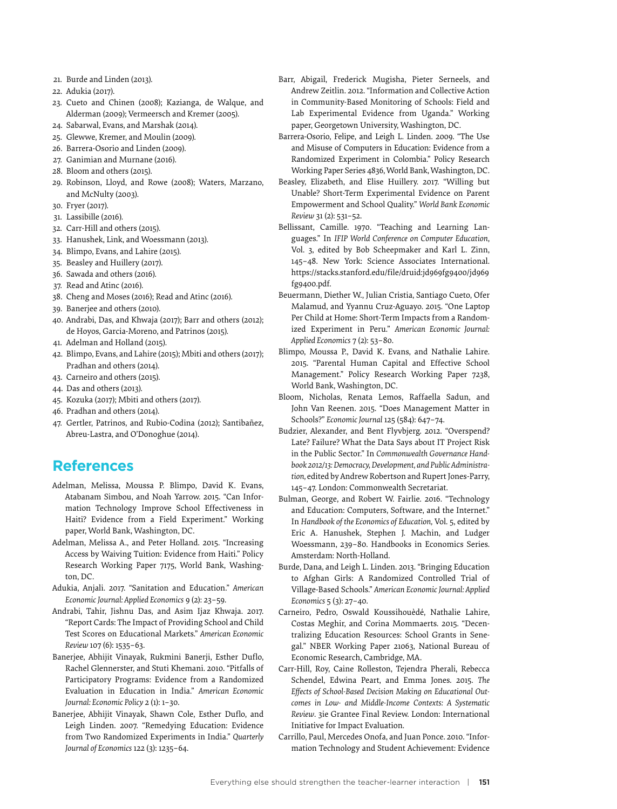- 21. Burde and Linden (2013).
- 22. Adukia (2017).
- 23. Cueto and Chinen (2008); Kazianga, de Walque, and Alderman (2009); Vermeersch and Kremer (2005).
- 24. Sabarwal, Evans, and Marshak (2014).
- 25. Glewwe, Kremer, and Moulin (2009).
- 26. Barrera-Osorio and Linden (2009).
- 27. Ganimian and Murnane (2016).
- 28. Bloom and others (2015).
- 29. Robinson, Lloyd, and Rowe (2008); Waters, Marzano, and McNulty (2003).
- 30. Fryer (2017).
- 31. Lassibille (2016).
- 32. Carr-Hill and others (2015).
- 33. Hanushek, Link, and Woessmann (2013).
- 34. Blimpo, Evans, and Lahire (2015).
- 35. Beasley and Huillery (2017).
- 36. Sawada and others (2016).
- 37. Read and Atinc (2016).
- 38. Cheng and Moses (2016); Read and Atinc (2016).
- 39. Banerjee and others (2010).
- 40. Andrabi, Das, and Khwaja (2017); Barr and others (2012); de Hoyos, Garcia-Moreno, and Patrinos (2015).
- 41. Adelman and Holland (2015).
- 42. Blimpo, Evans, and Lahire (2015); Mbiti and others (2017); Pradhan and others (2014).
- 43. Carneiro and others (2015).
- 44. Das and others (2013).
- 45. Kozuka (2017); Mbiti and others (2017).
- 46. Pradhan and others (2014).
- 47. Gertler, Patrinos, and Rubio-Codina (2012); Santibañez, Abreu-Lastra, and O'Donoghue (2014).

## **References**

- Adelman, Melissa, Moussa P. Blimpo, David K. Evans, Atabanam Simbou, and Noah Yarrow. 2015. "Can Information Technology Improve School Effectiveness in Haiti? Evidence from a Field Experiment." Working paper, World Bank, Washington, DC.
- Adelman, Melissa A., and Peter Holland. 2015. "Increasing Access by Waiving Tuition: Evidence from Haiti." Policy Research Working Paper 7175, World Bank, Washington, DC.
- Adukia, Anjali. 2017. "Sanitation and Education." *American Economic Journal: Applied Economics* 9 (2): 23–59.
- Andrabi, Tahir, Jishnu Das, and Asim Ijaz Khwaja. 2017. "Report Cards: The Impact of Providing School and Child Test Scores on Educational Markets." *American Economic Review* 107 (6): 1535–63.
- Banerjee, Abhijit Vinayak, Rukmini Banerji, Esther Duflo, Rachel Glennerster, and Stuti Khemani. 2010. "Pitfalls of Participatory Programs: Evidence from a Randomized Evaluation in Education in India." *American Economic Journal: Economic Policy* 2 (1): 1–30.
- Banerjee, Abhijit Vinayak, Shawn Cole, Esther Duflo, and Leigh Linden. 2007. "Remedying Education: Evidence from Two Randomized Experiments in India." *Quarterly Journal of Economics* 122 (3): 1235–64.
- Barr, Abigail, Frederick Mugisha, Pieter Serneels, and Andrew Zeitlin. 2012. "Information and Collective Action in Community-Based Monitoring of Schools: Field and Lab Experimental Evidence from Uganda." Working paper, Georgetown University, Washington, DC.
- Barrera-Osorio, Felipe, and Leigh L. Linden. 2009. "The Use and Misuse of Computers in Education: Evidence from a Randomized Experiment in Colombia." Policy Research Working Paper Series 4836, World Bank, Washington, DC.
- Beasley, Elizabeth, and Elise Huillery. 2017. "Willing but Unable? Short-Term Experimental Evidence on Parent Empowerment and School Quality." *World Bank Economic Review* 31 (2): 531–52.
- Bellissant, Camille. 1970. "Teaching and Learning Languages." In *IFIP World Conference on Computer Education*, Vol. 3, edited by Bob Scheepmaker and Karl L. Zinn, 145–48. New York: Science Associates International. https://stacks.stanford.edu/file/druid:jd969fg9400/jd969 fg9400.pdf.
- Beuermann, Diether W., Julian Cristia, Santiago Cueto, Ofer Malamud, and Yyannu Cruz-Aguayo. 2015. "One Laptop Per Child at Home: Short-Term Impacts from a Randomized Experiment in Peru." *American Economic Journal: Applied Economics* 7 (2): 53–80.
- Blimpo, Moussa P., David K. Evans, and Nathalie Lahire. 2015. "Parental Human Capital and Effective School Management." Policy Research Working Paper 7238, World Bank, Washington, DC.
- Bloom, Nicholas, Renata Lemos, Raffaella Sadun, and John Van Reenen. 2015. "Does Management Matter in Schools?" *Economic Journal* 125 (584): 647–74.
- Budzier, Alexander, and Bent Flyvbjerg. 2012. "Overspend? Late? Failure? What the Data Says about IT Project Risk in the Public Sector." In *Commonwealth Governance Handbook 2012/13: Democracy, Development, and Public Administration,* edited by Andrew Robertson and Rupert Jones-Parry, 145–47. London: Commonwealth Secretariat.
- Bulman, George, and Robert W. Fairlie. 2016. "Technology and Education: Computers, Software, and the Internet." In *Handbook of the Economics of Education,* Vol. 5, edited by Eric A. Hanushek, Stephen J. Machin, and Ludger Woessmann, 239–80. Handbooks in Economics Series. Amsterdam: North-Holland.
- Burde, Dana, and Leigh L. Linden. 2013. "Bringing Education to Afghan Girls: A Randomized Controlled Trial of Village-Based Schools." *American Economic Journal: Applied Economics* 5 (3): 27–40.
- Carneiro, Pedro, Oswald Koussihouèdé, Nathalie Lahire, Costas Meghir, and Corina Mommaerts. 2015. "Decentralizing Education Resources: School Grants in Senegal." NBER Working Paper 21063, National Bureau of Economic Research, Cambridge, MA.
- Carr-Hill, Roy, Caine Rolleston, Tejendra Pherali, Rebecca Schendel, Edwina Peart, and Emma Jones. 2015. *The Effects of School-Based Decision Making on Educational Outcomes in Low- and Middle-Income Contexts: A Systematic Review*. 3ie Grantee Final Review. London: International Initiative for Impact Evaluation.
- Carrillo, Paul, Mercedes Onofa, and Juan Ponce. 2010. "Information Technology and Student Achievement: Evidence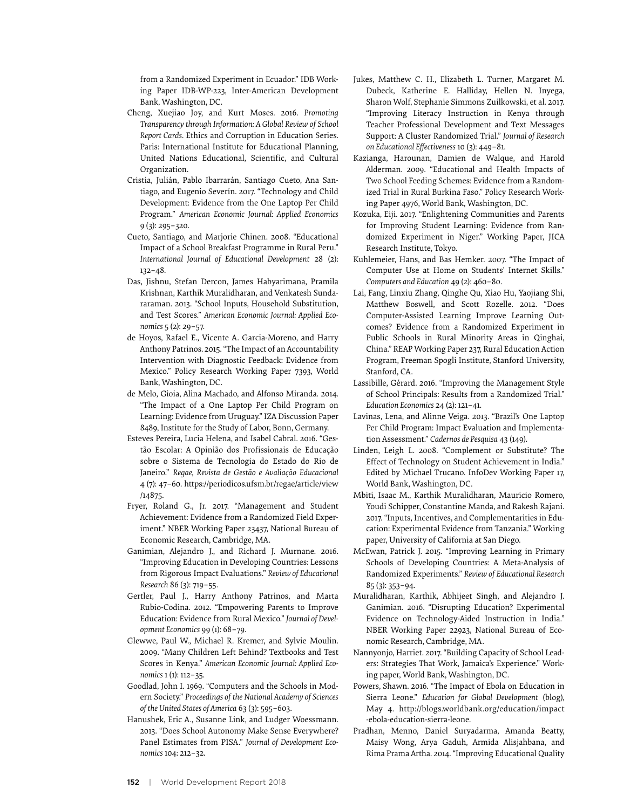from a Randomized Experiment in Ecuador." IDB Working Paper IDB-WP-223, Inter-American Development Bank, Washington, DC.

- Cheng, Xuejiao Joy, and Kurt Moses. 2016. *Promoting Transparency through Information: A Global Review of School Report Cards*. Ethics and Corruption in Education Series. Paris: International Institute for Educational Planning, United Nations Educational, Scientific, and Cultural Organization.
- Cristia, Julián, Pablo Ibarrarán, Santiago Cueto, Ana Santiago, and Eugenio Severín. 2017. "Technology and Child Development: Evidence from the One Laptop Per Child Program." *American Economic Journal: Applied Economics* 9 (3): 295–320.
- Cueto, Santiago, and Marjorie Chinen. 2008. "Educational Impact of a School Breakfast Programme in Rural Peru." *International Journal of Educational Development* 28 (2): 132–48.
- Das, Jishnu, Stefan Dercon, James Habyarimana, Pramila Krishnan, Karthik Muralidharan, and Venkatesh Sundararaman. 2013. "School Inputs, Household Substitution, and Test Scores." *American Economic Journal: Applied Economics* 5 (2): 29–57.
- de Hoyos, Rafael E., Vicente A. Garcia-Moreno, and Harry Anthony Patrinos. 2015. "The Impact of an Accountability Intervention with Diagnostic Feedback: Evidence from Mexico." Policy Research Working Paper 7393, World Bank, Washington, DC.
- de Melo, Gioia, Alina Machado, and Alfonso Miranda. 2014. "The Impact of a One Laptop Per Child Program on Learning: Evidence from Uruguay." IZA Discussion Paper 8489, Institute for the Study of Labor, Bonn, Germany.
- Esteves Pereira, Lucia Helena, and Isabel Cabral. 2016. "Gestão Escolar: A Opinião dos Profissionais de Educação sobre o Sistema de Tecnologia do Estado do Rio de Janeiro." *Regae, Revista de Gestão e Avaliação Educacional* 4 (7): 47–60. https://periodicos.ufsm.br/regae/article/view /14875.
- Fryer, Roland G., Jr. 2017. "Management and Student Achievement: Evidence from a Randomized Field Experiment." NBER Working Paper 23437, National Bureau of Economic Research, Cambridge, MA.
- Ganimian, Alejandro J., and Richard J. Murnane. 2016. "Improving Education in Developing Countries: Lessons from Rigorous Impact Evaluations." *Review of Educational Research* 86 (3): 719–55.
- Gertler, Paul J., Harry Anthony Patrinos, and Marta Rubio-Codina. 2012. "Empowering Parents to Improve Education: Evidence from Rural Mexico." *Journal of Development Economics* 99 (1): 68–79.
- Glewwe, Paul W., Michael R. Kremer, and Sylvie Moulin. 2009. "Many Children Left Behind? Textbooks and Test Scores in Kenya." *American Economic Journal: Applied Economics* 1 (1): 112–35.
- Goodlad, John I. 1969. "Computers and the Schools in Modern Society." *Proceedings of the National Academy of Sciences of the United States of America* 63 (3): 595–603.
- Hanushek, Eric A., Susanne Link, and Ludger Woessmann. 2013. "Does School Autonomy Make Sense Everywhere? Panel Estimates from PISA." *Journal of Development Economics* 104: 212–32.
- Jukes, Matthew C. H., Elizabeth L. Turner, Margaret M. Dubeck, Katherine E. Halliday, Hellen N. Inyega, Sharon Wolf, Stephanie Simmons Zuilkowski, et al. 2017. "Improving Literacy Instruction in Kenya through Teacher Professional Development and Text Messages Support: A Cluster Randomized Trial." *Journal of Research on Educational Effectiveness* 10 (3): 449–81.
- Kazianga, Harounan, Damien de Walque, and Harold Alderman. 2009. "Educational and Health Impacts of Two School Feeding Schemes: Evidence from a Randomized Trial in Rural Burkina Faso." Policy Research Working Paper 4976, World Bank, Washington, DC.
- Kozuka, Eiji. 2017. "Enlightening Communities and Parents for Improving Student Learning: Evidence from Randomized Experiment in Niger." Working Paper, JICA Research Institute, Tokyo.
- Kuhlemeier, Hans, and Bas Hemker. 2007. "The Impact of Computer Use at Home on Students' Internet Skills." *Computers and Education* 49 (2): 460–80.
- Lai, Fang, Linxiu Zhang, Qinghe Qu, Xiao Hu, Yaojiang Shi, Matthew Boswell, and Scott Rozelle. 2012. "Does Computer-Assisted Learning Improve Learning Outcomes? Evidence from a Randomized Experiment in Public Schools in Rural Minority Areas in Qinghai, China." REAP Working Paper 237, Rural Education Action Program, Freeman Spogli Institute, Stanford University, Stanford, CA.
- Lassibille, Gérard. 2016. "Improving the Management Style of School Principals: Results from a Randomized Trial." *Education Economics* 24 (2): 121–41.
- Lavinas, Lena, and Alinne Veiga. 2013. "Brazil's One Laptop Per Child Program: Impact Evaluation and Implementation Assessment." *Cadernos de Pesquisa* 43 (149).
- Linden, Leigh L. 2008. "Complement or Substitute? The Effect of Technology on Student Achievement in India." Edited by Michael Trucano. InfoDev Working Paper 17, World Bank, Washington, DC.
- Mbiti, Isaac M., Karthik Muralidharan, Mauricio Romero, Youdi Schipper, Constantine Manda, and Rakesh Rajani. 2017. "Inputs, Incentives, and Complementarities in Education: Experimental Evidence from Tanzania." Working paper, University of California at San Diego.
- McEwan, Patrick J. 2015. "Improving Learning in Primary Schools of Developing Countries: A Meta-Analysis of Randomized Experiments." *Review of Educational Research* 85 (3): 353–94.
- Muralidharan, Karthik, Abhijeet Singh, and Alejandro J. Ganimian. 2016. "Disrupting Education? Experimental Evidence on Technology-Aided Instruction in India." NBER Working Paper 22923, National Bureau of Economic Research, Cambridge, MA.
- Nannyonjo, Harriet. 2017. "Building Capacity of School Leaders: Strategies That Work, Jamaica's Experience." Working paper, World Bank, Washington, DC.
- Powers, Shawn. 2016. "The Impact of Ebola on Education in Sierra Leone." *Education for Global Development* (blog), May 4. http://blogs.worldbank.org/education/impact -ebola-education-sierra-leone.
- Pradhan, Menno, Daniel Suryadarma, Amanda Beatty, Maisy Wong, Arya Gaduh, Armida Alisjahbana, and Rima Prama Artha. 2014. "Improving Educational Quality